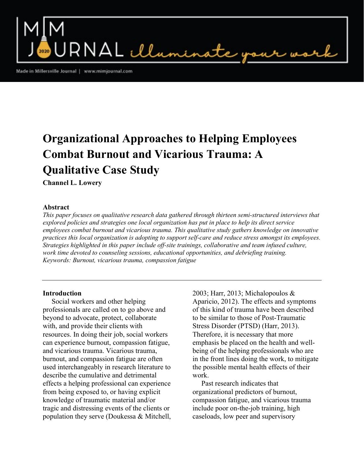RNAL illumi

Made in Millersville Journal | www.mimjournal.com

# Organizational Approaches to Helping Employees Combat Burnout and Vicarious Trauma: A Qualitative Case Study

Channel L. Lowery

# Abstract

This paper focuses on qualitative research data gathered through thirteen semi-structured interviews that explored policies and strategies one local organization has put in place to help its direct service employees combat burnout and vicarious trauma. This qualitative study gathers knowledge on innovative practices this local organization is adopting to support self-care and reduce stress amongst its employees. Strategies highlighted in this paper include off-site trainings, collaborative and team infused culture, work time devoted to counseling sessions, educational opportunities, and debriefing training. Keywords: Burnout, vicarious trauma, compassion fatigue

## Introduction

 Social workers and other helping professionals are called on to go above and beyond to advocate, protect, collaborate with, and provide their clients with resources. In doing their job, social workers can experience burnout, compassion fatigue, and vicarious trauma. Vicarious trauma, burnout, and compassion fatigue are often used interchangeably in research literature to describe the cumulative and detrimental effects a helping professional can experience from being exposed to, or having explicit knowledge of traumatic material and/or tragic and distressing events of the clients or population they serve (Doukessa & Mitchell, 2003; Harr, 2013; Michalopoulos & Aparicio, 2012). The effects and symptoms of this kind of trauma have been described to be similar to those of Post-Traumatic Stress Disorder (PTSD) (Harr, 2013). Therefore, it is necessary that more emphasis be placed on the health and wellbeing of the helping professionals who are in the front lines doing the work, to mitigate the possible mental health effects of their work.

 Past research indicates that organizational predictors of burnout, compassion fatigue, and vicarious trauma include poor on-the-job training, high caseloads, low peer and supervisory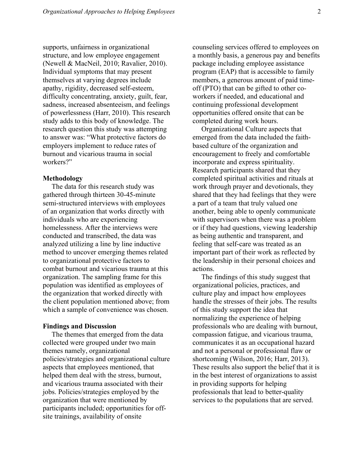supports, unfairness in organizational structure, and low employee engagement (Newell & MacNeil, 2010; Ravalier, 2010). Individual symptoms that may present themselves at varying degrees include apathy, rigidity, decreased self-esteem, difficulty concentrating, anxiety, guilt, fear, sadness, increased absenteeism, and feelings of powerlessness (Harr, 2010). This research study adds to this body of knowledge. The research question this study was attempting to answer was: "What protective factors do employers implement to reduce rates of burnout and vicarious trauma in social workers?"

#### Methodology

 The data for this research study was gathered through thirteen 30-45-minute semi-structured interviews with employees of an organization that works directly with individuals who are experiencing homelessness. After the interviews were conducted and transcribed, the data was analyzed utilizing a line by line inductive method to uncover emerging themes related to organizational protective factors to combat burnout and vicarious trauma at this organization. The sampling frame for this population was identified as employees of the organization that worked directly with the client population mentioned above; from which a sample of convenience was chosen.

#### Findings and Discussion

 The themes that emerged from the data collected were grouped under two main themes namely, organizational policies/strategies and organizational culture aspects that employees mentioned, that helped them deal with the stress, burnout, and vicarious trauma associated with their jobs. Policies/strategies employed by the organization that were mentioned by participants included; opportunities for offsite trainings, availability of onsite

counseling services offered to employees on a monthly basis, a generous pay and benefits package including employee assistance program (EAP) that is accessible to family members, a generous amount of paid timeoff (PTO) that can be gifted to other coworkers if needed, and educational and continuing professional development opportunities offered onsite that can be completed during work hours.

 Organizational Culture aspects that emerged from the data included the faithbased culture of the organization and encouragement to freely and comfortable incorporate and express spirituality. Research participants shared that they completed spiritual activities and rituals at work through prayer and devotionals, they shared that they had feelings that they were a part of a team that truly valued one another, being able to openly communicate with supervisors when there was a problem or if they had questions, viewing leadership as being authentic and transparent, and feeling that self-care was treated as an important part of their work as reflected by the leadership in their personal choices and actions.

 The findings of this study suggest that organizational policies, practices, and culture play and impact how employees handle the stresses of their jobs. The results of this study support the idea that normalizing the experience of helping professionals who are dealing with burnout, compassion fatigue, and vicarious trauma, communicates it as an occupational hazard and not a personal or professional flaw or shortcoming (Wilson, 2016; Harr, 2013). These results also support the belief that it is in the best interest of organizations to assist in providing supports for helping professionals that lead to better-quality services to the populations that are served.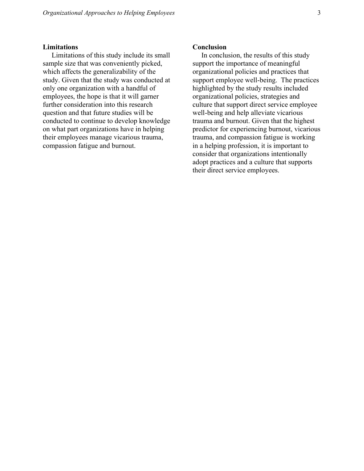# **Limitations**

 Limitations of this study include its small sample size that was conveniently picked, which affects the generalizability of the study. Given that the study was conducted at only one organization with a handful of employees, the hope is that it will garner further consideration into this research question and that future studies will be conducted to continue to develop knowledge on what part organizations have in helping their employees manage vicarious trauma, compassion fatigue and burnout.

### **Conclusion**

 In conclusion, the results of this study support the importance of meaningful organizational policies and practices that support employee well-being. The practices highlighted by the study results included organizational policies, strategies and culture that support direct service employee well-being and help alleviate vicarious trauma and burnout. Given that the highest predictor for experiencing burnout, vicarious trauma, and compassion fatigue is working in a helping profession, it is important to consider that organizations intentionally adopt practices and a culture that supports their direct service employees.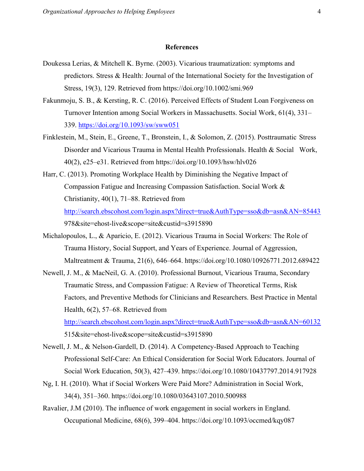# References

- Doukessa Lerias, & Mitchell K. Byrne. (2003). Vicarious traumatization: symptoms and predictors. Stress & Health: Journal of the International Society for the Investigation of Stress, 19(3), 129. Retrieved from https://doi.org/10.1002/smi.969
- Fakunmoju, S. B., & Kersting, R. C. (2016). Perceived Effects of Student Loan Forgiveness on Turnover Intention among Social Workers in Massachusetts. Social Work, 61(4), 331– 339. https://doi.org/10.1093/sw/sww051
- Finklestein, M., Stein, E., Greene, T., Bronstein, I., & Solomon, Z. (2015). Posttraumatic Stress Disorder and Vicarious Trauma in Mental Health Professionals. Health & Social Work, 40(2), e25–e31. Retrieved from https://doi.org/10.1093/hsw/hlv026
- Harr, C. (2013). Promoting Workplace Health by Diminishing the Negative Impact of Compassion Fatigue and Increasing Compassion Satisfaction. Social Work & Christianity, 40(1), 71–88. Retrieved from http://search.ebscohost.com/login.aspx?direct=true&AuthType=sso&db=asn&AN=85443 978&site=ehost-live&scope=site&custid=s3915890
- Michalopoulos, L., & Aparicio, E. (2012). Vicarious Trauma in Social Workers: The Role of Trauma History, Social Support, and Years of Experience. Journal of Aggression, Maltreatment & Trauma, 21(6), 646–664. https://doi.org/10.1080/10926771.2012.689422
- Newell, J. M., & MacNeil, G. A. (2010). Professional Burnout, Vicarious Trauma, Secondary Traumatic Stress, and Compassion Fatigue: A Review of Theoretical Terms, Risk Factors, and Preventive Methods for Clinicians and Researchers. Best Practice in Mental Health, 6(2), 57–68. Retrieved from http://search.ebscohost.com/login.aspx?direct=true&AuthType=sso&db=asn&AN=60132 515&site=ehost-live&scope=site&custid=s3915890
- Newell, J. M., & Nelson-Gardell, D. (2014). A Competency-Based Approach to Teaching Professional Self-Care: An Ethical Consideration for Social Work Educators. Journal of Social Work Education, 50(3), 427–439. https://doi.org/10.1080/10437797.2014.917928
- Ng, I. H. (2010). What if Social Workers Were Paid More? Administration in Social Work, 34(4), 351–360. https://doi.org/10.1080/03643107.2010.500988
- Ravalier, J.M (2010). The influence of work engagement in social workers in England. Occupational Medicine, 68(6), 399–404. https://doi.org/10.1093/occmed/kqy087